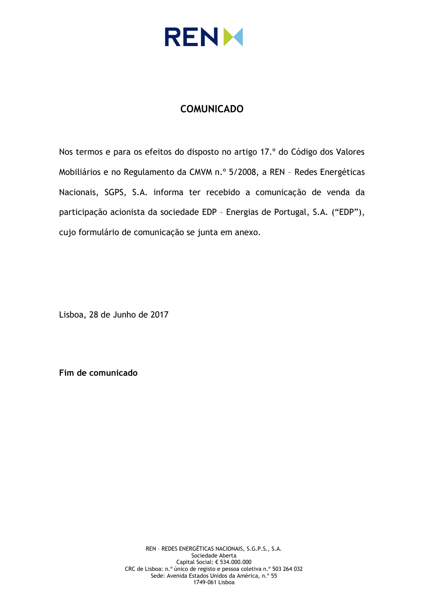

## **COMUNICADO**

Nos termos e para os efeitos do disposto no artigo 17.º do Código dos Valores Mobiliários e no Regulamento da CMVM n.º 5/2008, a REN – Redes Energéticas Nacionais, SGPS, S.A. informa ter recebido a comunicação de venda da participação acionista da sociedade EDP – Energias de Portugal, S.A. ("EDP"), cujo formulário de comunicação se junta em anexo.

Lisboa, 28 de Junho de 2017

**Fim de comunicado**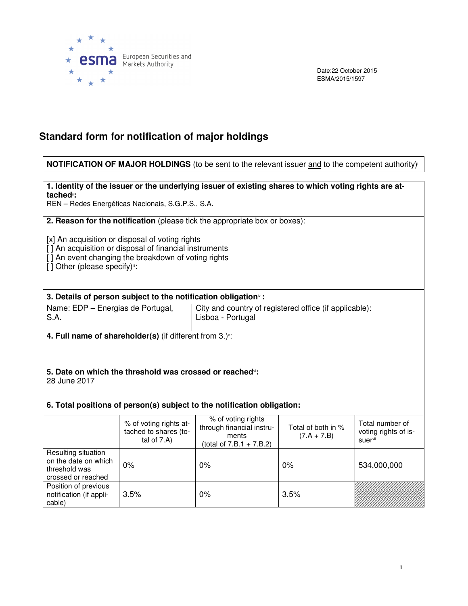

Date:22 October 2015 ESMA/2015/1597

# **Standard form for notification of major holdings**

## **NOTIFICATION OF MAJOR HOLDINGS** (to be sent to the relevant issuer and to the competent authority)<sup>i</sup>

### **1. Identity of the issuer or the underlying issuer of existing shares to which voting rights are attached**ii**:**

REN – Redes Energéticas Nacionais, S.G.P.S., S.A.

**2. Reason for the notification** (please tick the appropriate box or boxes):

[x] An acquisition or disposal of voting rights

[ ] An acquisition or disposal of financial instruments

[] An event changing the breakdown of voting rights

 $[ ]$  Other (please specify)<sup>ii</sup>:

## **3. Details of person subject to the notification obligation**iv **:**

Name: EDP – Energias de Portugal, S.A.

City and country of registered office (if applicable): Lisboa - Portugal

**4. Full name of shareholder(s)** (if different from 3.)<sup>\*</sup>:

#### **5. Date on which the threshold was crossed or reached**vi**:**  28 June 2017

## **6. Total positions of person(s) subject to the notification obligation:**

|                                                                                    | % of voting rights at-<br>tached to shares (to-<br>tal of $7.A$ ) | % of voting rights<br>through financial instru-<br>ments<br>(total of $7.B.1 + 7.B.2$ ) | Total of both in %<br>$(7.A + 7.B)$ | Total number of<br>voting rights of is-<br><b>suer</b> <sup>vii</sup> |
|------------------------------------------------------------------------------------|-------------------------------------------------------------------|-----------------------------------------------------------------------------------------|-------------------------------------|-----------------------------------------------------------------------|
| Resulting situation<br>on the date on which<br>threshold was<br>crossed or reached | $0\%$                                                             | $0\%$                                                                                   | $0\%$                               | 534,000,000                                                           |
| Position of previous<br>notification (if appli-<br>cable)                          | 3.5%                                                              | $0\%$                                                                                   | 3.5%                                |                                                                       |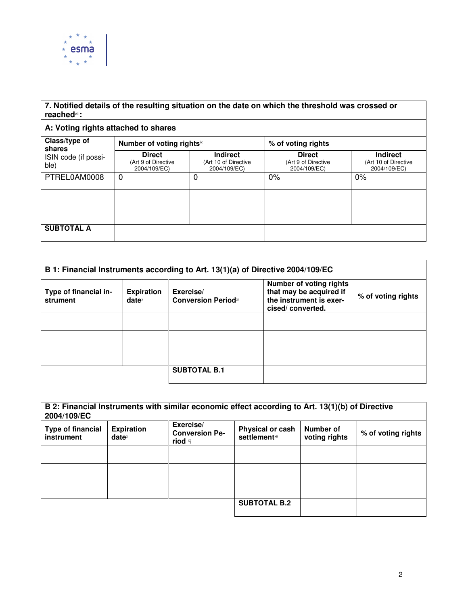

## **7. Notified details of the resulting situation on the date on which the threshold was crossed or reached**viii**:**

## **A: Voting rights attached to shares**

| Class/type of<br>shares<br>ISIN code (if possi-<br>ble) | Number of voting rightsix                            |                                                         | % of voting rights                                   |                                                         |
|---------------------------------------------------------|------------------------------------------------------|---------------------------------------------------------|------------------------------------------------------|---------------------------------------------------------|
|                                                         | <b>Direct</b><br>(Art 9 of Directive<br>2004/109/EC) | <b>Indirect</b><br>(Art 10 of Directive<br>2004/109/EC) | <b>Direct</b><br>(Art 9 of Directive<br>2004/109/EC) | <b>Indirect</b><br>(Art 10 of Directive<br>2004/109/EC) |
| PTREL0AM0008                                            | $\Omega$                                             | 0                                                       | $0\%$                                                | $0\%$                                                   |
|                                                         |                                                      |                                                         |                                                      |                                                         |
|                                                         |                                                      |                                                         |                                                      |                                                         |
| <b>SUBTOTAL A</b>                                       |                                                      |                                                         |                                                      |                                                         |

| B 1: Financial Instruments according to Art. 13(1)(a) of Directive 2004/109/EC |                                      |                                                     |                                                                                                          |                    |
|--------------------------------------------------------------------------------|--------------------------------------|-----------------------------------------------------|----------------------------------------------------------------------------------------------------------|--------------------|
| Type of financial in-<br>strument                                              | <b>Expiration</b><br>$date^{\times}$ | Exercise/<br><b>Conversion Period</b> <sup>xi</sup> | <b>Number of voting rights</b><br>that may be acquired if<br>the instrument is exer-<br>cised/converted. | % of voting rights |
|                                                                                |                                      |                                                     |                                                                                                          |                    |
|                                                                                |                                      |                                                     |                                                                                                          |                    |
|                                                                                |                                      |                                                     |                                                                                                          |                    |
|                                                                                |                                      | <b>SUBTOTAL B.1</b>                                 |                                                                                                          |                    |

| B 2: Financial Instruments with similar economic effect according to Art. 13(1)(b) of Directive<br>2004/109/EC |                                      |                                               |                                           |                            |                    |
|----------------------------------------------------------------------------------------------------------------|--------------------------------------|-----------------------------------------------|-------------------------------------------|----------------------------|--------------------|
| <b>Type of financial</b><br>instrument                                                                         | <b>Expiration</b><br>$date^{\times}$ | Exercise/<br><b>Conversion Pe-</b><br>riod *i | Physical or cash<br><b>settlement</b> xii | Number of<br>voting rights | % of voting rights |
|                                                                                                                |                                      |                                               |                                           |                            |                    |
|                                                                                                                |                                      |                                               |                                           |                            |                    |
|                                                                                                                |                                      |                                               |                                           |                            |                    |
|                                                                                                                |                                      |                                               | <b>SUBTOTAL B.2</b>                       |                            |                    |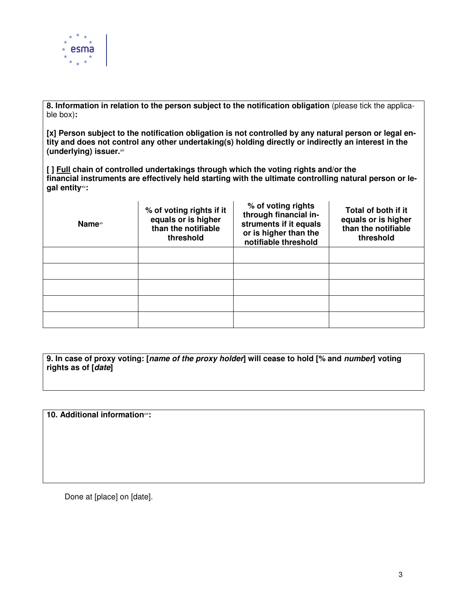

**8. Information in relation to the person subject to the notification obligation** (please tick the applicable box)**:** 

**[x] Person subject to the notification obligation is not controlled by any natural person or legal entity and does not control any other undertaking(s) holding directly or indirectly an interest in the (underlying) issuer.**xiii

**[ ] Full chain of controlled undertakings through which the voting rights and/or the financial instruments are effectively held starting with the ultimate controlling natural person or legal entity**xiv**:** 

| Name <sup>∞</sup> | % of voting rights if it<br>equals or is higher<br>than the notifiable<br>threshold | % of voting rights<br>through financial in-<br>struments if it equals<br>or is higher than the<br>notifiable threshold | Total of both if it<br>equals or is higher<br>than the notifiable<br>threshold |
|-------------------|-------------------------------------------------------------------------------------|------------------------------------------------------------------------------------------------------------------------|--------------------------------------------------------------------------------|
|                   |                                                                                     |                                                                                                                        |                                                                                |
|                   |                                                                                     |                                                                                                                        |                                                                                |
|                   |                                                                                     |                                                                                                                        |                                                                                |
|                   |                                                                                     |                                                                                                                        |                                                                                |
|                   |                                                                                     |                                                                                                                        |                                                                                |

**9. In case of proxy voting: [name of the proxy holder] will cease to hold [% and number] voting rights as of [date]** 

**10. Additional information**xvi**:**

Done at [place] on [date].